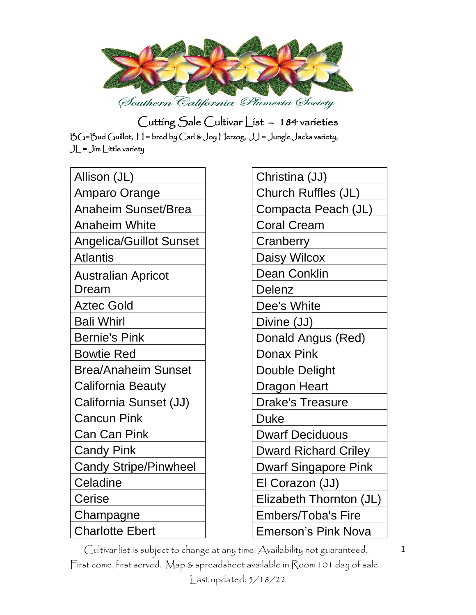

| Allison (JL)                       |
|------------------------------------|
| <b>Amparo Orange</b>               |
| <b>Anaheim Sunset/Brea</b>         |
| <b>Anaheim White</b>               |
| <b>Angelica/Guillot Sunset</b>     |
| <b>Atlantis</b>                    |
| <b>Australian Apricot</b><br>Dream |
| <b>Aztec Gold</b>                  |
| <b>Bali Whirl</b>                  |
| <b>Bernie's Pink</b>               |
| <b>Bowtie Red</b>                  |
| <b>Brea/Anaheim Sunset</b>         |
| <b>California Beauty</b>           |
| California Sunset (JJ)             |
| <b>Cancun Pink</b>                 |
| <b>Can Can Pink</b>                |
| <b>Candy Pink</b>                  |
| <b>Candy Stripe/Pinwheel</b>       |
| Celadine                           |
| Cerise                             |
| Champagne                          |
| <b>Charlotte Ebert</b>             |

Christina (JJ) Church Ruffles (JL) Compacta Peach (JL) Coral Cream **Cranberry** Daisy Wilcox Dean Conklin Delenz Dee's White Divine (JJ) Donald Angus (Red) Donax Pink Double Delight Dragon Heart Drake's Treasure Duke Dwarf Deciduous Dward Richard Criley Dwarf Singapore Pink El Corazon (JJ) Elizabeth Thornton (JL) Embers/Toba's Fire Emerson's Pink Nova

Cultivar list is subject to change at any time. Availability not guaranteed. First come, first served. Map & spreadsheet available in Room 101 day of sale. Last updated: 5/18/22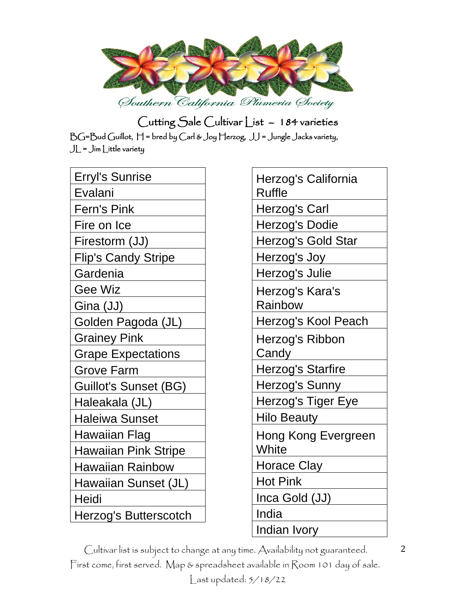

| Erryl's Sunrise              |
|------------------------------|
| Evalani                      |
| <b>Fern's Pink</b>           |
| Fire on Ice                  |
| Firestorm (JJ)               |
| Flip's Candy Stripe          |
| Gardenia                     |
| Gee Wiz                      |
| Gina (JJ)                    |
| Golden Pagoda (JL)           |
| <b>Grainey Pink</b>          |
| <b>Grape Expectations</b>    |
|                              |
| <b>Grove Farm</b>            |
| <b>Guillot's Sunset (BG)</b> |
| Haleakala (JL)               |
| <b>Haleiwa Sunset</b>        |
| Hawaiian Flag                |
| <b>Hawaiian Pink Stripe</b>  |
| <b>Hawaiian Rainbow</b>      |
| Hawaiian Sunset (JL)         |
| Heidi                        |

| Herzog's California<br>Ruffle |
|-------------------------------|
| Herzog's Carl                 |
| Herzog's Dodie                |
| Herzog's Gold Star            |
| Herzog's Joy                  |
| Herzog's Julie                |
| Herzog's Kara's<br>Rainbow    |
| Herzog's Kool Peach           |
| Herzog's Ribbon<br>Candy      |
| Herzog's Starfire             |
| Herzog's Sunny                |
| Herzog's Tiger Eye            |
| <b>Hilo Beauty</b>            |
| Hong Kong Evergreen<br>White  |
| <b>Horace Clay</b>            |
| <b>Hot Pink</b>               |
| Inca Gold (JJ)                |
| India                         |
| Indian Ivorv                  |

Cultivar list is subject to change at any time. Availability not guaranteed. First come, first served. Map & spreadsheet available in Room 101 day of sale.

Last updated: 5/18/22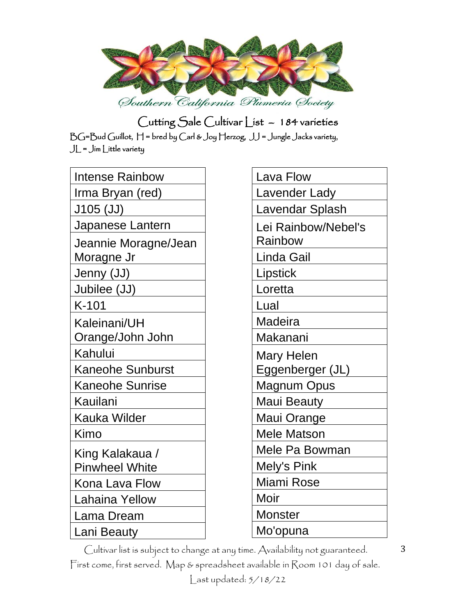

| <b>Intense Rainbow</b>  |  |
|-------------------------|--|
| Irma Bryan (red)        |  |
| J105 (JJ)               |  |
| Japanese Lantern        |  |
| Jeannie Moragne/Jean    |  |
| Moragne Jr              |  |
| Jenny (JJ)              |  |
| Jubilee (JJ)            |  |
| $K-101$                 |  |
| Kaleinani/UH            |  |
| Orange/John John        |  |
| Kahului                 |  |
| <b>Kaneohe Sunburst</b> |  |
| <b>Kaneohe Sunrise</b>  |  |
| Kauilani                |  |
| <b>Kauka Wilder</b>     |  |
| Kimo                    |  |
| King Kalakaua /         |  |
| <b>Pinwheel White</b>   |  |
| Kona Lava Flow          |  |
| Lahaina Yellow          |  |
| Lama Dream              |  |
| Lani Beauty             |  |

| Lava Flow           |
|---------------------|
| Lavender Lady       |
| Lavendar Splash     |
| Lei Rainbow/Nebel's |
| Rainbow             |
| Linda Gail          |
| Lipstick            |
| Loretta             |
| Lual                |
| Madeira             |
| Makanani            |
| Mary Helen          |
| Eggenberger (JL)    |
| Magnum Opus         |
| <b>Maui Beauty</b>  |
| Maui Orange         |
| <b>Mele Matson</b>  |
| Mele Pa Bowman      |
| <b>Mely's Pink</b>  |
| Miami Rose          |
| Moir                |
| Monster             |
| Mo'opuna            |

Cultivar list is subject to change at any time. Availability not guaranteed.

First come, first served. Map & spreadsheet available in Room 101 day of sale.

Last updated: 5/18/22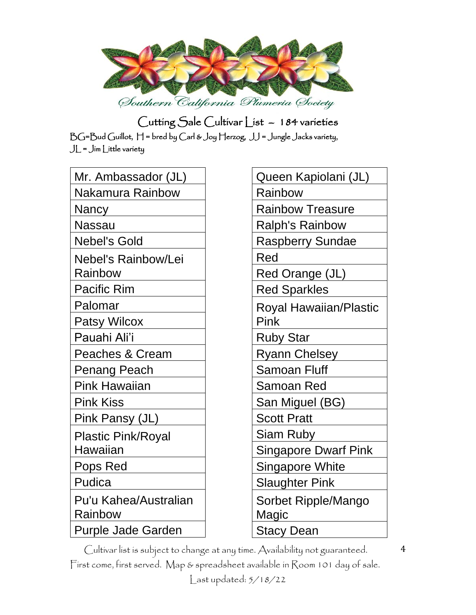

| Mr. Ambassador (JL)                   |
|---------------------------------------|
| Nakamura Rainbow                      |
| Nancy                                 |
| Nassau                                |
| <b>Nebel's Gold</b>                   |
| Nebel's Rainbow/Lei<br>Rainbow        |
| <b>Pacific Rim</b>                    |
| Palomar                               |
| <b>Patsy Wilcox</b>                   |
| Pauahi Ali'i                          |
| <b>Peaches &amp; Cream</b>            |
| Penang Peach                          |
| <b>Pink Hawaiian</b>                  |
| <b>Pink Kiss</b>                      |
| Pink Pansy (JL)                       |
| <b>Plastic Pink/Royal</b><br>Hawaiian |
| Pops Red                              |
| Pudica                                |
| Pu'u Kahea/Australian<br>Rainbow      |
| Purple Jade Garden                    |

| Queen Kapiolani (JL)        |
|-----------------------------|
| Rainbow                     |
| <b>Rainbow Treasure</b>     |
| <b>Ralph's Rainbow</b>      |
| <b>Raspberry Sundae</b>     |
| Red                         |
| Red Orange (JL)             |
| <b>Red Sparkles</b>         |
| Royal Hawaiian/Plastic      |
| Pink                        |
| <b>Ruby Star</b>            |
| <b>Ryann Chelsey</b>        |
| <b>Samoan Fluff</b>         |
| Samoan Red                  |
| San Miguel (BG)             |
| <b>Scott Pratt</b>          |
| Siam Ruby                   |
| <b>Singapore Dwarf Pink</b> |
| Singapore White             |
| <b>Slaughter Pink</b>       |
| Sorbet Ripple/Mango         |
| Magic                       |
| <b>Stacy Dean</b>           |

Cultivar list is subject to change at any time. Availability not guaranteed.

First come, first served. Map & spreadsheet available in Room 101 day of sale.

Last updated: 5/18/22